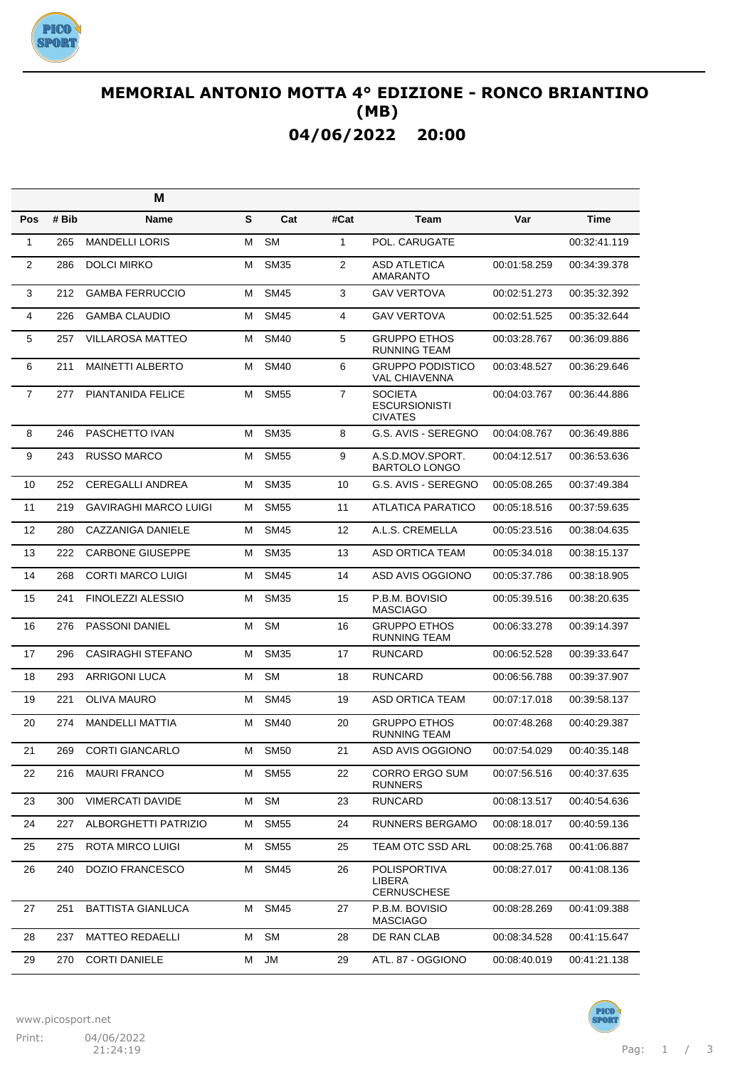

## **MEMORIAL ANTONIO MOTTA 4° EDIZIONE - RONCO BRIANTINO (MB) 04/06/2022 20:00**

|                |       | M                            |   |             |                |                                                          |              |              |
|----------------|-------|------------------------------|---|-------------|----------------|----------------------------------------------------------|--------------|--------------|
| Pos            | # Bib | <b>Name</b>                  | S | Cat         | #Cat           | <b>Team</b>                                              | Var          | <b>Time</b>  |
| $\mathbf{1}$   | 265   | <b>MANDELLI LORIS</b>        | M | <b>SM</b>   | 1              | POL. CARUGATE                                            |              | 00:32:41.119 |
| $\overline{2}$ | 286   | <b>DOLCI MIRKO</b>           | M | <b>SM35</b> | $\overline{2}$ | <b>ASD ATLETICA</b><br><b>AMARANTO</b>                   | 00:01:58.259 | 00:34:39.378 |
| 3              | 212   | <b>GAMBA FERRUCCIO</b>       | м | <b>SM45</b> | 3              | <b>GAV VERTOVA</b>                                       | 00:02:51.273 | 00:35:32.392 |
| 4              | 226   | <b>GAMBA CLAUDIO</b>         | м | <b>SM45</b> | 4              | <b>GAV VERTOVA</b>                                       | 00:02:51.525 | 00:35:32.644 |
| 5              | 257   | <b>VILLAROSA MATTEO</b>      | м | <b>SM40</b> | 5              | <b>GRUPPO ETHOS</b><br>RUNNING TEAM                      | 00:03:28.767 | 00:36:09.886 |
| 6              | 211   | <b>MAINETTI ALBERTO</b>      | м | <b>SM40</b> | 6              | <b>GRUPPO PODISTICO</b><br><b>VAL CHIAVENNA</b>          | 00:03:48.527 | 00:36:29.646 |
| $\overline{7}$ | 277   | PIANTANIDA FELICE            | M | <b>SM55</b> | $\overline{7}$ | <b>SOCIETA</b><br><b>ESCURSIONISTI</b><br><b>CIVATES</b> | 00:04:03.767 | 00:36:44.886 |
| 8              | 246   | PASCHETTO IVAN               | м | <b>SM35</b> | 8              | G.S. AVIS - SEREGNO                                      | 00:04:08.767 | 00:36:49.886 |
| 9              | 243   | <b>RUSSO MARCO</b>           | м | <b>SM55</b> | 9              | A.S.D.MOV.SPORT.<br><b>BARTOLO LONGO</b>                 | 00:04:12.517 | 00:36:53.636 |
| 10             | 252   | <b>CEREGALLI ANDREA</b>      | м | <b>SM35</b> | 10             | G.S. AVIS - SEREGNO                                      | 00:05:08.265 | 00:37:49.384 |
| 11             | 219   | <b>GAVIRAGHI MARCO LUIGI</b> | м | <b>SM55</b> | 11             | ATLATICA PARATICO                                        | 00:05:18.516 | 00:37:59.635 |
| 12             | 280   | <b>CAZZANIGA DANIELE</b>     | м | <b>SM45</b> | 12             | A.L.S. CREMELLA                                          | 00:05:23.516 | 00:38:04.635 |
| 13             | 222   | <b>CARBONE GIUSEPPE</b>      | м | <b>SM35</b> | 13             | ASD ORTICA TEAM                                          | 00:05:34.018 | 00:38:15.137 |
| 14             | 268   | <b>CORTI MARCO LUIGI</b>     | м | <b>SM45</b> | 14             | ASD AVIS OGGIONO                                         | 00:05:37.786 | 00:38:18.905 |
| 15             | 241   | FINOLEZZI ALESSIO            | м | <b>SM35</b> | 15             | P.B.M. BOVISIO<br><b>MASCIAGO</b>                        | 00:05:39.516 | 00:38:20.635 |
| 16             | 276   | <b>PASSONI DANIEL</b>        | М | <b>SM</b>   | 16             | <b>GRUPPO ETHOS</b><br><b>RUNNING TEAM</b>               | 00:06:33.278 | 00:39:14.397 |
| 17             | 296   | <b>CASIRAGHI STEFANO</b>     | м | <b>SM35</b> | 17             | <b>RUNCARD</b>                                           | 00:06:52.528 | 00:39:33.647 |
| 18             | 293   | <b>ARRIGONI LUCA</b>         | м | <b>SM</b>   | 18             | <b>RUNCARD</b>                                           | 00:06:56.788 | 00:39:37.907 |
| 19             | 221   | <b>OLIVA MAURO</b>           | м | <b>SM45</b> | 19             | ASD ORTICA TEAM                                          | 00:07:17.018 | 00:39:58.137 |
| 20             | 274   | <b>MANDELLI MATTIA</b>       | м | <b>SM40</b> | 20             | <b>GRUPPO ETHOS</b><br><b>RUNNING TEAM</b>               | 00:07:48.268 | 00:40:29.387 |
| 21             | 269   | <b>CORTI GIANCARLO</b>       | м | <b>SM50</b> | 21             | ASD AVIS OGGIONO                                         | 00:07:54.029 | 00:40:35.148 |
| 22             | 216   | <b>MAURI FRANCO</b>          | М | <b>SM55</b> | 22             | <b>CORRO ERGO SUM</b><br><b>RUNNERS</b>                  | 00:07:56.516 | 00:40:37.635 |
| 23             | 300   | <b>VIMERCATI DAVIDE</b>      | м | <b>SM</b>   | 23             | <b>RUNCARD</b>                                           | 00:08:13.517 | 00:40:54.636 |
| 24             | 227   | ALBORGHETTI PATRIZIO         | М | <b>SM55</b> | 24             | <b>RUNNERS BERGAMO</b>                                   | 00:08:18.017 | 00:40:59.136 |
| 25             | 275   | ROTA MIRCO LUIGI             | M | <b>SM55</b> | 25             | TEAM OTC SSD ARL                                         | 00:08:25.768 | 00:41:06.887 |
| 26             | 240   | <b>DOZIO FRANCESCO</b>       | м | <b>SM45</b> | 26             | <b>POLISPORTIVA</b><br>LIBERA<br><b>CERNUSCHESE</b>      | 00:08:27.017 | 00:41:08.136 |
| 27             | 251   | <b>BATTISTA GIANLUCA</b>     | м | <b>SM45</b> | 27             | P.B.M. BOVISIO<br><b>MASCIAGO</b>                        | 00:08:28.269 | 00:41:09.388 |
| 28             | 237   | <b>MATTEO REDAELLI</b>       | М | <b>SM</b>   | 28             | DE RAN CLAB                                              | 00:08:34.528 | 00:41:15.647 |
| 29             | 270   | <b>CORTI DANIELE</b>         | M | JM          | 29             | ATL. 87 - OGGIONO                                        | 00:08:40.019 | 00:41:21.138 |

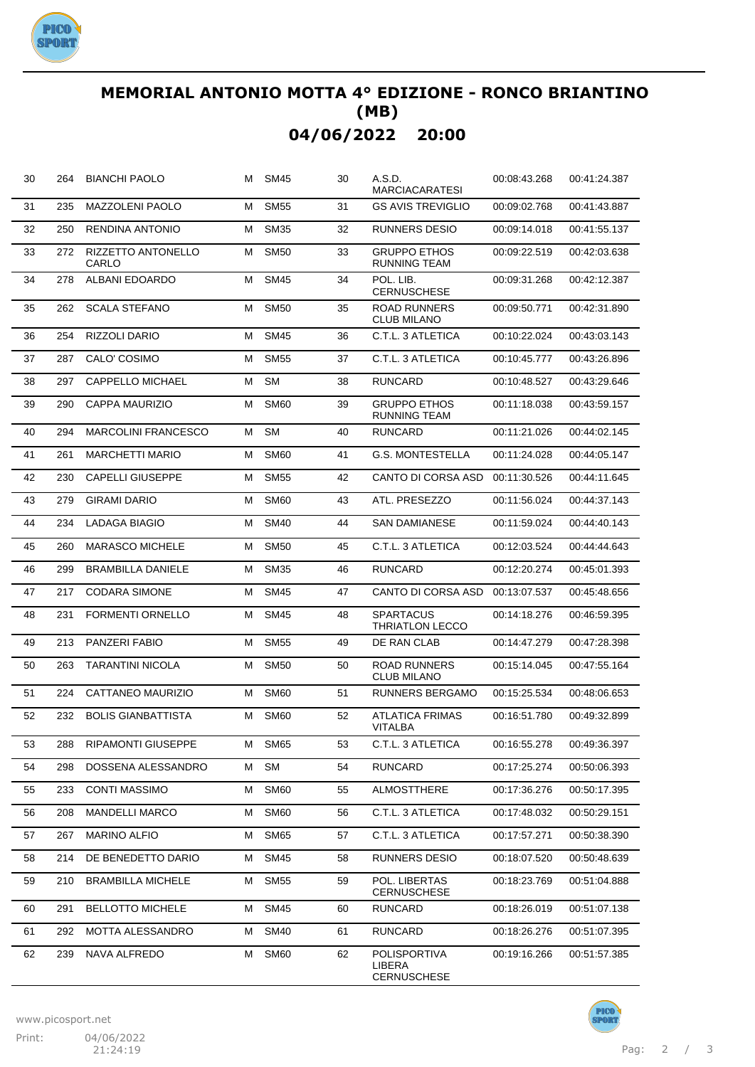

## **MEMORIAL ANTONIO MOTTA 4° EDIZIONE - RONCO BRIANTINO (MB) 04/06/2022 20:00**

| 30 | 264 | <b>BIANCHI PAOLO</b>        |   | M SM45      | 30 | A.S.D.<br><b>MARCIACARATESI</b>                     | 00:08:43.268 | 00:41:24.387 |
|----|-----|-----------------------------|---|-------------|----|-----------------------------------------------------|--------------|--------------|
| 31 | 235 | <b>MAZZOLENI PAOLO</b>      | м | <b>SM55</b> | 31 | <b>GS AVIS TREVIGLIO</b>                            | 00:09:02.768 | 00:41:43.887 |
| 32 | 250 | RENDINA ANTONIO             | М | <b>SM35</b> | 32 | RUNNERS DESIO                                       | 00:09:14.018 | 00:41:55.137 |
| 33 | 272 | RIZZETTO ANTONELLO<br>CARLO | М | <b>SM50</b> | 33 | <b>GRUPPO ETHOS</b><br><b>RUNNING TEAM</b>          | 00:09:22.519 | 00:42:03.638 |
| 34 | 278 | <b>ALBANI EDOARDO</b>       | м | <b>SM45</b> | 34 | POL. LIB.<br><b>CERNUSCHESE</b>                     | 00:09:31.268 | 00:42:12.387 |
| 35 | 262 | <b>SCALA STEFANO</b>        | м | <b>SM50</b> | 35 | <b>ROAD RUNNERS</b><br><b>CLUB MILANO</b>           | 00:09:50.771 | 00:42:31.890 |
| 36 | 254 | RIZZOLI DARIO               | М | <b>SM45</b> | 36 | C.T.L. 3 ATLETICA                                   | 00:10:22.024 | 00:43:03.143 |
| 37 | 287 | CALO' COSIMO                | М | <b>SM55</b> | 37 | C.T.L. 3 ATLETICA                                   | 00:10:45.777 | 00:43:26.896 |
| 38 | 297 | CAPPELLO MICHAEL            | М | <b>SM</b>   | 38 | <b>RUNCARD</b>                                      | 00:10:48.527 | 00:43:29.646 |
| 39 | 290 | CAPPA MAURIZIO              | М | <b>SM60</b> | 39 | <b>GRUPPO ETHOS</b><br><b>RUNNING TEAM</b>          | 00:11:18.038 | 00:43:59.157 |
| 40 | 294 | <b>MARCOLINI FRANCESCO</b>  | м | <b>SM</b>   | 40 | <b>RUNCARD</b>                                      | 00:11:21.026 | 00:44:02.145 |
| 41 | 261 | <b>MARCHETTI MARIO</b>      | м | <b>SM60</b> | 41 | <b>G.S. MONTESTELLA</b>                             | 00:11:24.028 | 00:44:05.147 |
| 42 | 230 | <b>CAPELLI GIUSEPPE</b>     | м | <b>SM55</b> | 42 | CANTO DI CORSA ASD                                  | 00:11:30.526 | 00:44:11.645 |
| 43 | 279 | <b>GIRAMI DARIO</b>         | м | <b>SM60</b> | 43 | ATL. PRESEZZO                                       | 00:11:56.024 | 00:44:37.143 |
| 44 | 234 | <b>LADAGA BIAGIO</b>        | м | <b>SM40</b> | 44 | <b>SAN DAMIANESE</b>                                | 00:11:59.024 | 00:44:40.143 |
| 45 | 260 | <b>MARASCO MICHELE</b>      | м | <b>SM50</b> | 45 | C.T.L. 3 ATLETICA                                   | 00:12:03.524 | 00:44:44.643 |
| 46 | 299 | <b>BRAMBILLA DANIELE</b>    | м | <b>SM35</b> | 46 | <b>RUNCARD</b>                                      | 00:12:20.274 | 00:45:01.393 |
| 47 | 217 | <b>CODARA SIMONE</b>        | м | <b>SM45</b> | 47 | CANTO DI CORSA ASD                                  | 00:13:07.537 | 00:45:48.656 |
| 48 | 231 | <b>FORMENTI ORNELLO</b>     | м | <b>SM45</b> | 48 | SPARTACUS<br><b>THRIATLON LECCO</b>                 | 00:14:18.276 | 00:46:59.395 |
| 49 | 213 | PANZERI FABIO               | м | <b>SM55</b> | 49 | DE RAN CLAB                                         | 00:14:47.279 | 00:47:28.398 |
| 50 | 263 | <b>TARANTINI NICOLA</b>     | м | <b>SM50</b> | 50 | <b>ROAD RUNNERS</b><br><b>CLUB MILANO</b>           | 00:15:14.045 | 00:47:55.164 |
| 51 | 224 | CATTANEO MAURIZIO           | М | <b>SM60</b> | 51 | <b>RUNNERS BERGAMO</b>                              | 00:15:25.534 | 00:48:06.653 |
| 52 | 232 | <b>BOLIS GIANBATTISTA</b>   | М | <b>SM60</b> | 52 | ATLATICA FRIMAS<br>VITALBA                          | 00:16:51.780 | 00:49:32.899 |
| 53 | 288 | RIPAMONTI GIUSEPPE          | М | <b>SM65</b> | 53 | C.T.L. 3 ATLETICA                                   | 00:16:55.278 | 00:49:36.397 |
| 54 | 298 | DOSSENA ALESSANDRO          | м | <b>SM</b>   | 54 | <b>RUNCARD</b>                                      | 00:17:25.274 | 00:50:06.393 |
| 55 | 233 | <b>CONTI MASSIMO</b>        | М | <b>SM60</b> | 55 | ALMOSTTHERE                                         | 00:17:36.276 | 00:50:17.395 |
| 56 | 208 | <b>MANDELLI MARCO</b>       | М | <b>SM60</b> | 56 | C.T.L. 3 ATLETICA                                   | 00:17:48.032 | 00:50:29.151 |
| 57 | 267 | <b>MARINO ALFIO</b>         | М | <b>SM65</b> | 57 | C.T.L. 3 ATLETICA                                   | 00:17:57.271 | 00:50:38.390 |
| 58 | 214 | DE BENEDETTO DARIO          | М | <b>SM45</b> | 58 | <b>RUNNERS DESIO</b>                                | 00:18:07.520 | 00:50:48.639 |
| 59 | 210 | <b>BRAMBILLA MICHELE</b>    | М | <b>SM55</b> | 59 | POL. LIBERTAS<br><b>CERNUSCHESE</b>                 | 00:18:23.769 | 00:51:04.888 |
| 60 | 291 | <b>BELLOTTO MICHELE</b>     | м | <b>SM45</b> | 60 | <b>RUNCARD</b>                                      | 00:18:26.019 | 00:51:07.138 |
| 61 | 292 | MOTTA ALESSANDRO            | М | <b>SM40</b> | 61 | <b>RUNCARD</b>                                      | 00:18:26.276 | 00:51:07.395 |
| 62 | 239 | NAVA ALFREDO                | м | <b>SM60</b> | 62 | <b>POLISPORTIVA</b><br>LIBERA<br><b>CERNUSCHESE</b> | 00:19:16.266 | 00:51:57.385 |



**PIC**